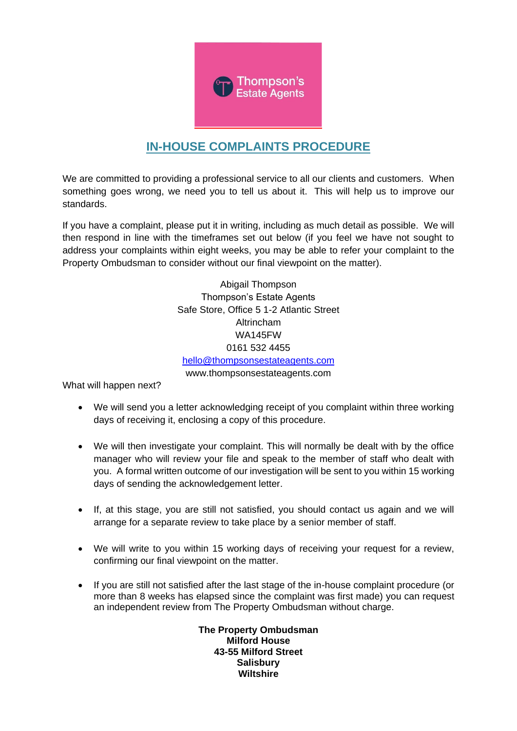

# **IN-HOUSE COMPLAINTS PROCEDURE**

We are committed to providing a professional service to all our clients and customers. When something goes wrong, we need you to tell us about it. This will help us to improve our standards.

If you have a complaint, please put it in writing, including as much detail as possible. We will then respond in line with the timeframes set out below (if you feel we have not sought to address your complaints within eight weeks, you may be able to refer your complaint to the Property Ombudsman to consider without our final viewpoint on the matter).

> Abigail Thompson Thompson's Estate Agents Safe Store, Office 5 1-2 Atlantic Street Altrincham WA145FW 0161 532 4455 [hello@thompsonsestateagents.com](mailto:hello@thompsonsestateagents.com) www.thompsonsestateagents.com

What will happen next?

- We will send you a letter acknowledging receipt of you complaint within three working days of receiving it, enclosing a copy of this procedure.
- We will then investigate your complaint. This will normally be dealt with by the office manager who will review your file and speak to the member of staff who dealt with you. A formal written outcome of our investigation will be sent to you within 15 working days of sending the acknowledgement letter.
- If, at this stage, you are still not satisfied, you should contact us again and we will arrange for a separate review to take place by a senior member of staff.
- We will write to you within 15 working days of receiving your request for a review, confirming our final viewpoint on the matter.
- If you are still not satisfied after the last stage of the in-house complaint procedure (or more than 8 weeks has elapsed since the complaint was first made) you can request an independent review from The Property Ombudsman without charge.

**The Property Ombudsman Milford House 43-55 Milford Street Salisbury Wiltshire**